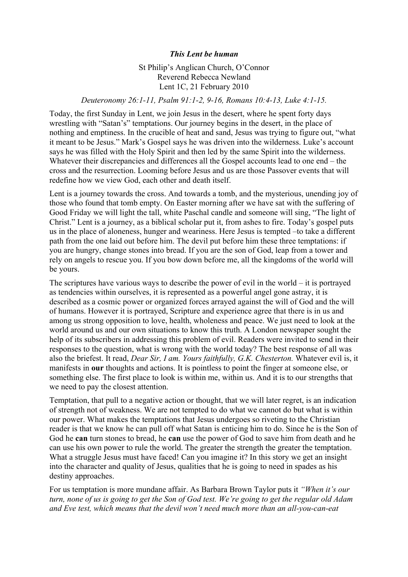## *This Lent be human*

St Philip's Anglican Church, O'Connor Reverend Rebecca Newland Lent 1C, 21 February 2010

## *Deuteronomy 26:1-11, Psalm 91:1-2, 9-16, Romans 10:4-13, Luke 4:1-15.*

Today, the first Sunday in Lent, we join Jesus in the desert, where he spent forty days wrestling with "Satan's" temptations. Our journey begins in the desert, in the place of nothing and emptiness. In the crucible of heat and sand, Jesus was trying to figure out, "what it meant to be Jesus." Mark's Gospel says he was driven into the wilderness. Luke's account says he was filled with the Holy Spirit and then led by the same Spirit into the wilderness. Whatever their discrepancies and differences all the Gospel accounts lead to one end – the cross and the resurrection. Looming before Jesus and us are those Passover events that will redefine how we view God, each other and death itself.

Lent is a journey towards the cross. And towards a tomb, and the mysterious, unending joy of those who found that tomb empty. On Easter morning after we have sat with the suffering of Good Friday we will light the tall, white Paschal candle and someone will sing, "The light of Christ." Lent is a journey, as a biblical scholar put it, from ashes to fire. Today's gospel puts us in the place of aloneness, hunger and weariness. Here Jesus is tempted –to take a different path from the one laid out before him. The devil put before him these three temptations: if you are hungry, change stones into bread. If you are the son of God, leap from a tower and rely on angels to rescue you. If you bow down before me, all the kingdoms of the world will be yours.

The scriptures have various ways to describe the power of evil in the world – it is portrayed as tendencies within ourselves, it is represented as a powerful angel gone astray, it is described as a cosmic power or organized forces arrayed against the will of God and the will of humans. However it is portrayed, Scripture and experience agree that there is in us and among us strong opposition to love, health, wholeness and peace. We just need to look at the world around us and our own situations to know this truth. A London newspaper sought the help of its subscribers in addressing this problem of evil. Readers were invited to send in their responses to the question, what is wrong with the world today? The best response of all was also the briefest. It read, *Dear Sir, I am. Yours faithfully, G.K. Chesterton.* Whatever evil is, it manifests in **our** thoughts and actions. It is pointless to point the finger at someone else, or something else. The first place to look is within me, within us. And it is to our strengths that we need to pay the closest attention.

Temptation, that pull to a negative action or thought, that we will later regret, is an indication of strength not of weakness. We are not tempted to do what we cannot do but what is within our power. What makes the temptations that Jesus undergoes so riveting to the Christian reader is that we know he can pull off what Satan is enticing him to do. Since he is the Son of God he **can** turn stones to bread, he **can** use the power of God to save him from death and he can use his own power to rule the world. The greater the strength the greater the temptation. What a struggle Jesus must have faced! Can you imagine it? In this story we get an insight into the character and quality of Jesus, qualities that he is going to need in spades as his destiny approaches.

For us temptation is more mundane affair. As Barbara Brown Taylor puts it *"When it's our turn, none of us is going to get the Son of God test. We're going to get the regular old Adam and Eve test, which means that the devil won't need much more than an all-you-can-eat*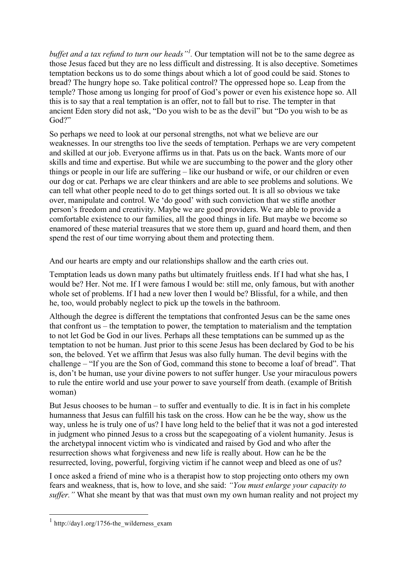*buffet and a tax refund to turn our heads"<sup>1</sup> .* Our temptation will not be to the same degree as those Jesus faced but they are no less difficult and distressing. It is also deceptive. Sometimes temptation beckons us to do some things about which a lot of good could be said. Stones to bread? The hungry hope so. Take political control? The oppressed hope so. Leap from the temple? Those among us longing for proof of God's power or even his existence hope so. All this is to say that a real temptation is an offer, not to fall but to rise. The tempter in that ancient Eden story did not ask, "Do you wish to be as the devil" but "Do you wish to be as God?"

So perhaps we need to look at our personal strengths, not what we believe are our weaknesses. In our strengths too live the seeds of temptation. Perhaps we are very competent and skilled at our job. Everyone affirms us in that. Pats us on the back. Wants more of our skills and time and expertise. But while we are succumbing to the power and the glory other things or people in our life are suffering – like our husband or wife, or our children or even our dog or cat. Perhaps we are clear thinkers and are able to see problems and solutions. We can tell what other people need to do to get things sorted out. It is all so obvious we take over, manipulate and control. We 'do good' with such conviction that we stifle another person's freedom and creativity. Maybe we are good providers. We are able to provide a comfortable existence to our families, all the good things in life. But maybe we become so enamored of these material treasures that we store them up, guard and hoard them, and then spend the rest of our time worrying about them and protecting them.

And our hearts are empty and our relationships shallow and the earth cries out.

Temptation leads us down many paths but ultimately fruitless ends. If I had what she has, I would be? Her. Not me. If I were famous I would be: still me, only famous, but with another whole set of problems. If I had a new lover then I would be? Blissful, for a while, and then he, too, would probably neglect to pick up the towels in the bathroom.

Although the degree is different the temptations that confronted Jesus can be the same ones that confront us – the temptation to power, the temptation to materialism and the temptation to not let God be God in our lives. Perhaps all these temptations can be summed up as the temptation to not be human. Just prior to this scene Jesus has been declared by God to be his son, the beloved. Yet we affirm that Jesus was also fully human. The devil begins with the challenge – "If you are the Son of God, command this stone to become a loaf of bread". That is, don't be human, use your divine powers to not suffer hunger. Use your miraculous powers to rule the entire world and use your power to save yourself from death. (example of British woman)

But Jesus chooses to be human – to suffer and eventually to die. It is in fact in his complete humanness that Jesus can fulfill his task on the cross. How can he be the way, show us the way, unless he is truly one of us? I have long held to the belief that it was not a god interested in judgment who pinned Jesus to a cross but the scapegoating of a violent humanity. Jesus is the archetypal innocent victim who is vindicated and raised by God and who after the resurrection shows what forgiveness and new life is really about. How can he be the resurrected, loving, powerful, forgiving victim if he cannot weep and bleed as one of us?

I once asked a friend of mine who is a therapist how to stop projecting onto others my own fears and weakness, that is, how to love, and she said: *"You must enlarge your capacity to suffer."* What she meant by that was that must own my own human reality and not project my

 $1$  http://day1.org/1756-the wilderness exam